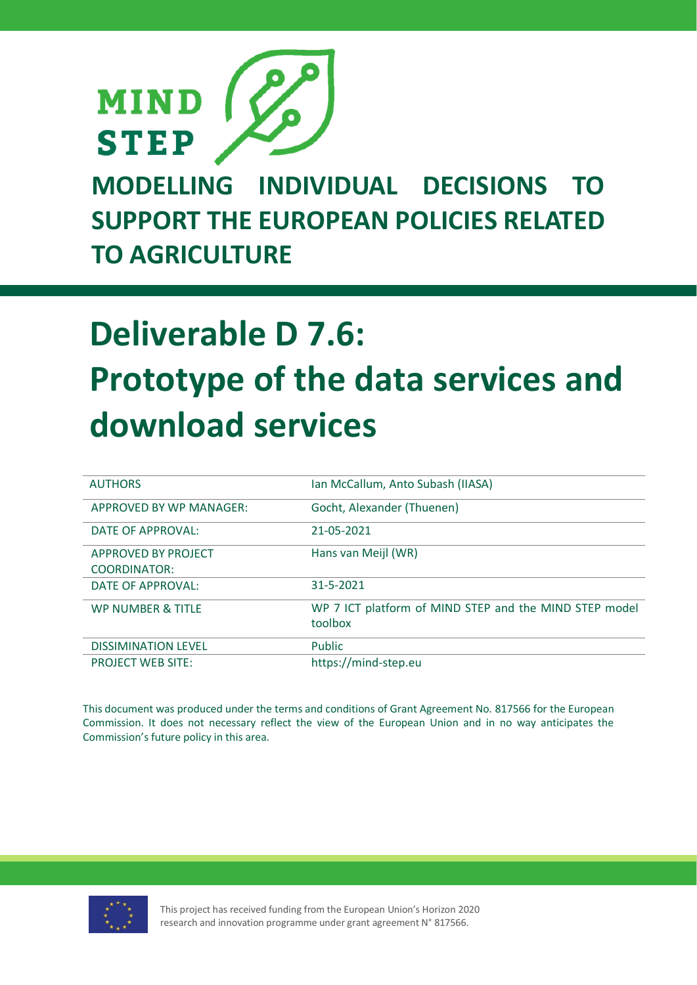

**MODELLING INDIVIDUAL DECISIONS TO SUPPORT THE EUROPEAN POLICIES RELATED TO AGRICULTURE**

# **Deliverable D 7.6: Prototype of the data services and download services**

| <b>AUTHORS</b>               | Ian McCallum, Anto Subash (IIASA)                                 |
|------------------------------|-------------------------------------------------------------------|
| APPROVED BY WP MANAGER:      | Gocht, Alexander (Thuenen)                                        |
| DATE OF APPROVAL:            | 21-05-2021                                                        |
| <b>APPROVED BY PROJECT</b>   | Hans van Meijl (WR)                                               |
| <b>COORDINATOR:</b>          |                                                                   |
| DATE OF APPROVAL:            | 31-5-2021                                                         |
| <b>WP NUMBER &amp; TITLE</b> | WP 7 ICT platform of MIND STEP and the MIND STEP model<br>toolbox |
| <b>DISSIMINATION LEVEL</b>   | <b>Public</b>                                                     |
| <b>PROJECT WEB SITE:</b>     | https://mind-step.eu                                              |

This document was produced under the terms and conditions of Grant Agreement No. 817566 for the European Commission. It does not necessary reflect the view of the European Union and in no way anticipates the Commission's future policy in this area.



This project has received funding from the European Union's Horizon 2020 research and innovation programme under grant agreement N° 817566.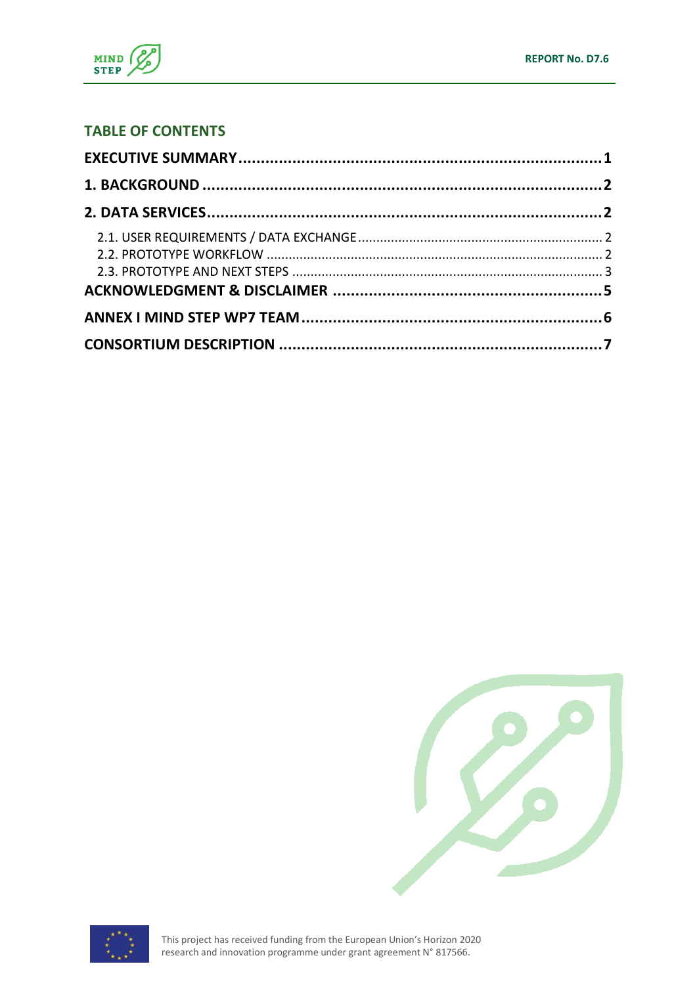

### **TABLE OF CONTENTS**





This project has received funding from the European Union's Horizon 2020 research and innovation programme under grant agreement N° 817566.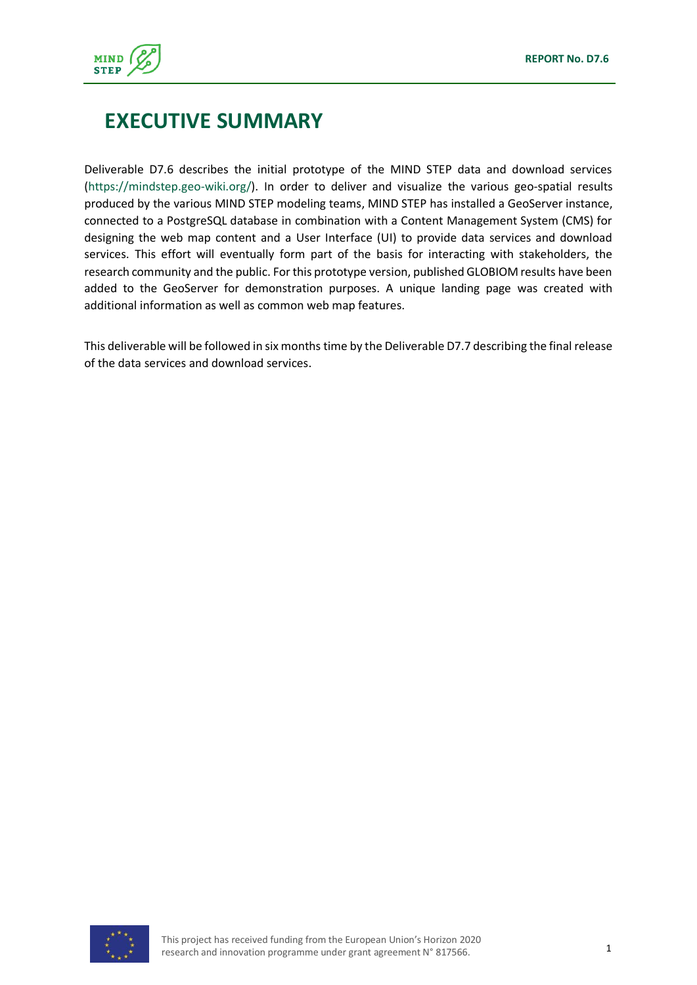

# <span id="page-2-0"></span>**EXECUTIVE SUMMARY**

Deliverable D7.6 describes the initial prototype of the MIND STEP data and download services [\(https://mindstep.geo-wiki.org/\)](https://mindstep.geo-wiki.org/). In order to deliver and visualize the various geo-spatial results produced by the various MIND STEP modeling teams, MIND STEP has installed a GeoServer instance, connected to a PostgreSQL database in combination with a Content Management System (CMS) for designing the web map content and a User Interface (UI) to provide data services and download services. This effort will eventually form part of the basis for interacting with stakeholders, the research community and the public. For this prototype version, published GLOBIOM results have been added to the GeoServer for demonstration purposes. A unique landing page was created with additional information as well as common web map features.

This deliverable will be followed in six months time by the Deliverable D7.7 describing the final release of the data services and download services.

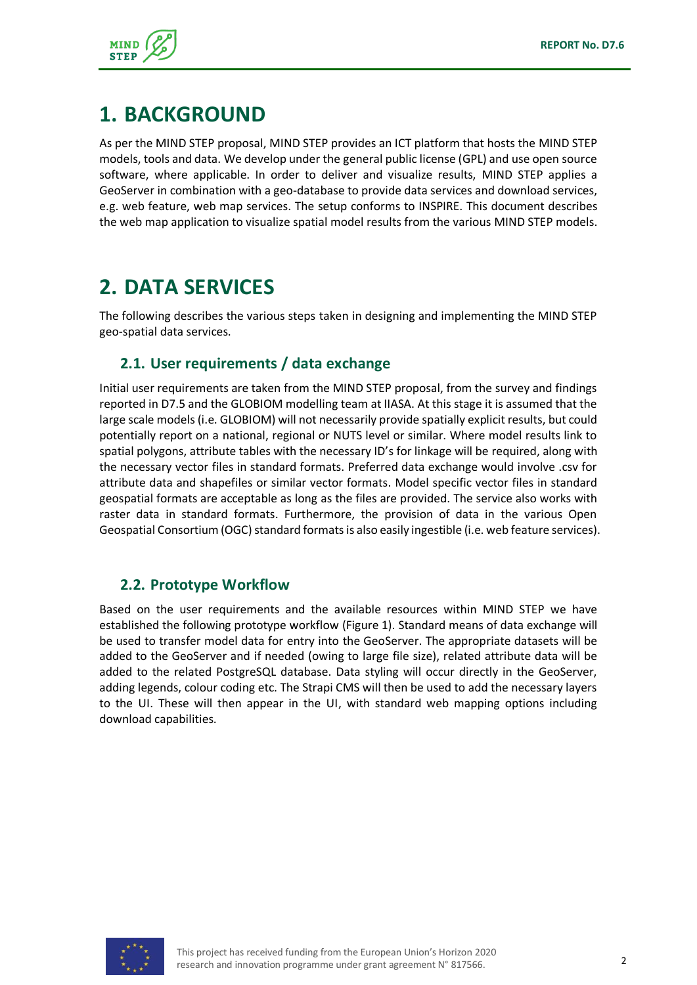

## <span id="page-3-0"></span>**1. BACKGROUND**

As per the MIND STEP proposal, MIND STEP provides an ICT platform that hosts the MIND STEP models, tools and data. We develop under the general public license (GPL) and use open source software, where applicable. In order to deliver and visualize results, MIND STEP applies a GeoServer in combination with a geo-database to provide data services and download services, e.g. web feature, web map services. The setup conforms to INSPIRE. This document describes the web map application to visualize spatial model results from the various MIND STEP models.

# <span id="page-3-1"></span>**2. DATA SERVICES**

The following describes the various steps taken in designing and implementing the MIND STEP geo-spatial data services.

#### <span id="page-3-2"></span>**2.1. User requirements / data exchange**

Initial user requirements are taken from the MIND STEP proposal, from the survey and findings reported in D7.5 and the GLOBIOM modelling team at IIASA. At this stage it is assumed that the large scale models (i.e. GLOBIOM) will not necessarily provide spatially explicit results, but could potentially report on a national, regional or NUTS level or similar. Where model results link to spatial polygons, attribute tables with the necessary ID's for linkage will be required, along with the necessary vector files in standard formats. Preferred data exchange would involve .csv for attribute data and shapefiles or similar vector formats. Model specific vector files in standard geospatial formats are acceptable as long as the files are provided. The service also works with raster data in standard formats. Furthermore, the provision of data in the various Open Geospatial Consortium (OGC) standard formats is also easily ingestible (i.e. web feature services).

#### <span id="page-3-3"></span>**2.2. Prototype Workflow**

Based on the user requirements and the available resources within MIND STEP we have established the following prototype workflow (Figure 1). Standard means of data exchange will be used to transfer model data for entry into the GeoServer. The appropriate datasets will be added to the GeoServer and if needed (owing to large file size), related attribute data will be added to the related PostgreSQL database. Data styling will occur directly in the GeoServer, adding legends, colour coding etc. The Strapi CMS will then be used to add the necessary layers to the UI. These will then appear in the UI, with standard web mapping options including download capabilities.

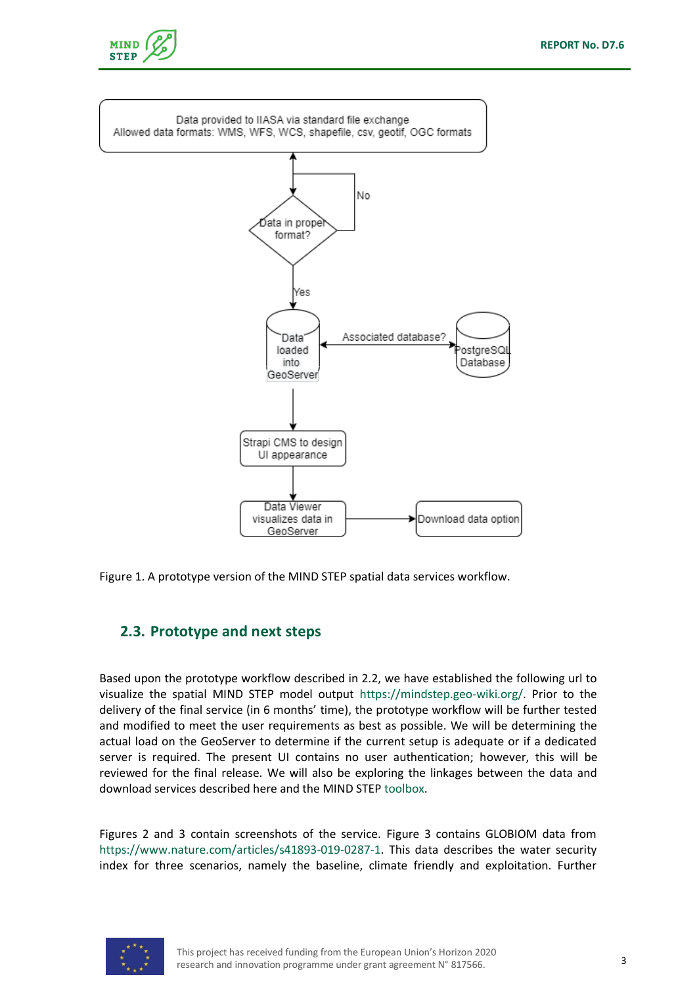



Figure 1. A prototype version of the MIND STEP spatial data services workflow.

#### <span id="page-4-0"></span>**2.3. Prototype and next steps**

Based upon the prototype workflow described in 2.2, we have established the following url to visualize the spatial MIND STEP model output [https://mindstep.geo-wiki.org/.](https://mindstep.geo-wiki.org/) Prior to the delivery of the final service (in 6 months' time), the prototype workflow will be further tested and modified to meet the user requirements as best as possible. We will be determining the actual load on the GeoServer to determine if the current setup is adequate or if a dedicated server is required. The present UI contains no user authentication; however, this will be reviewed for the final release. We will also be exploring the linkages between the data and download services described here and the MIND STEP [toolbox.](https://iiasa.github.io/MIND_STEP/)

Figures 2 and 3 contain screenshots of the service. Figure 3 contains GLOBIOM data from [https://www.nature.com/articles/s41893-019-0287-1.](https://www.nature.com/articles/s41893-019-0287-1) This data describes the water security index for three scenarios, namely the baseline, climate friendly and exploitation. Further

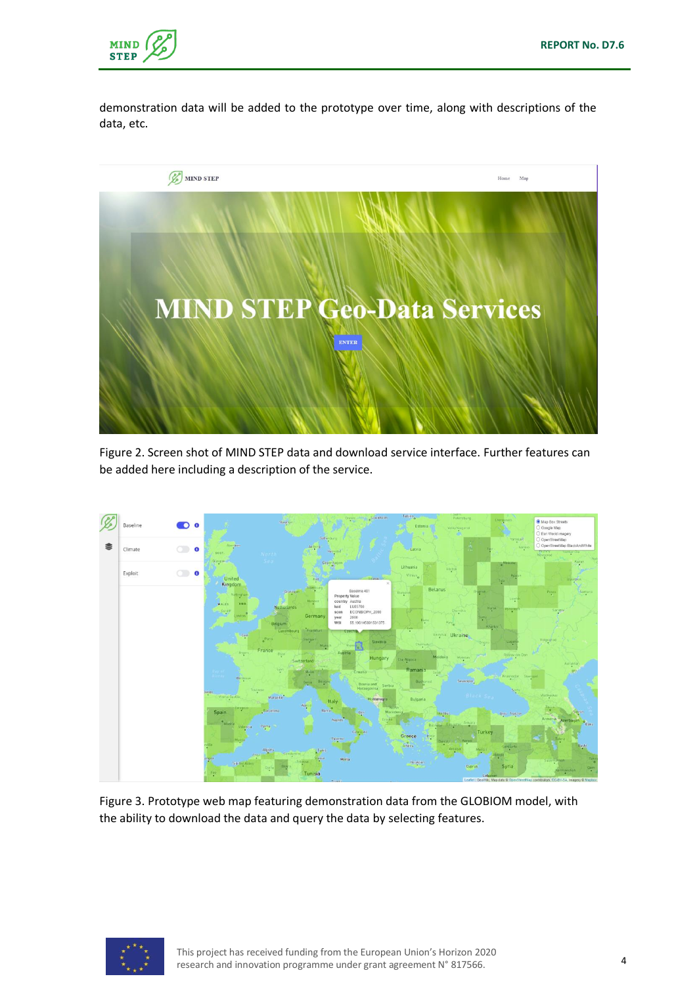

demonstration data will be added to the prototype over time, along with descriptions of the data, etc.



Figure 2. Screen shot of MIND STEP data and download service interface. Further features can be added here including a description of the service.



Figure 3. Prototype web map featuring demonstration data from the GLOBIOM model, with the ability to download the data and query the data by selecting features.

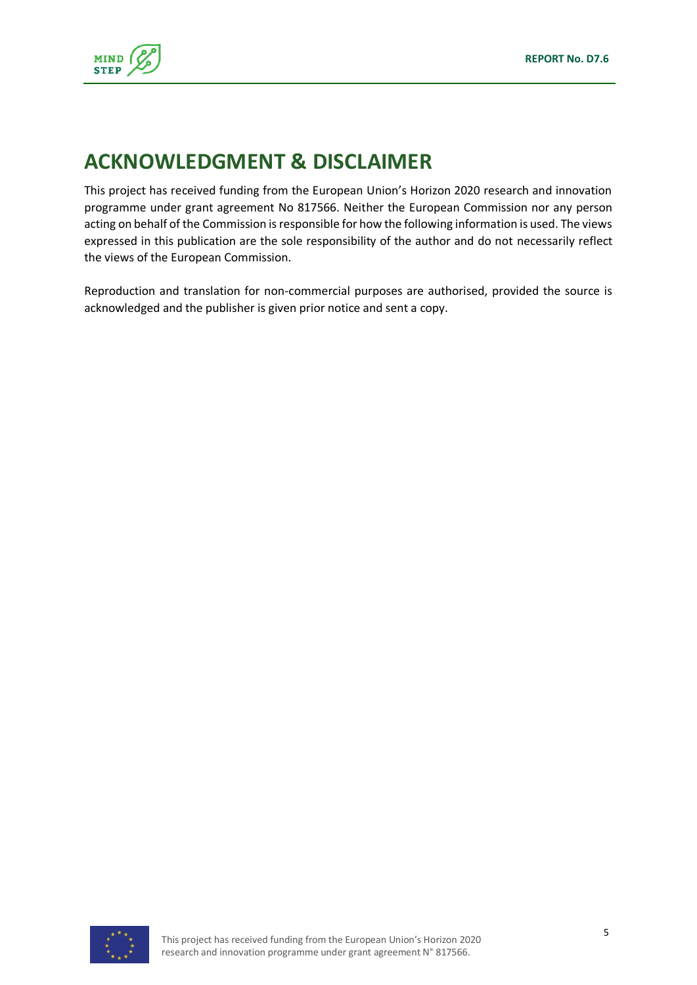

# <span id="page-6-0"></span>**ACKNOWLEDGMENT & DISCLAIMER**

This project has received funding from the European Union's Horizon 2020 research and innovation programme under grant agreement No 817566. Neither the European Commission nor any person acting on behalf of the Commission is responsible for how the following information is used. The views expressed in this publication are the sole responsibility of the author and do not necessarily reflect the views of the European Commission.

Reproduction and translation for non-commercial purposes are authorised, provided the source is acknowledged and the publisher is given prior notice and sent a copy.

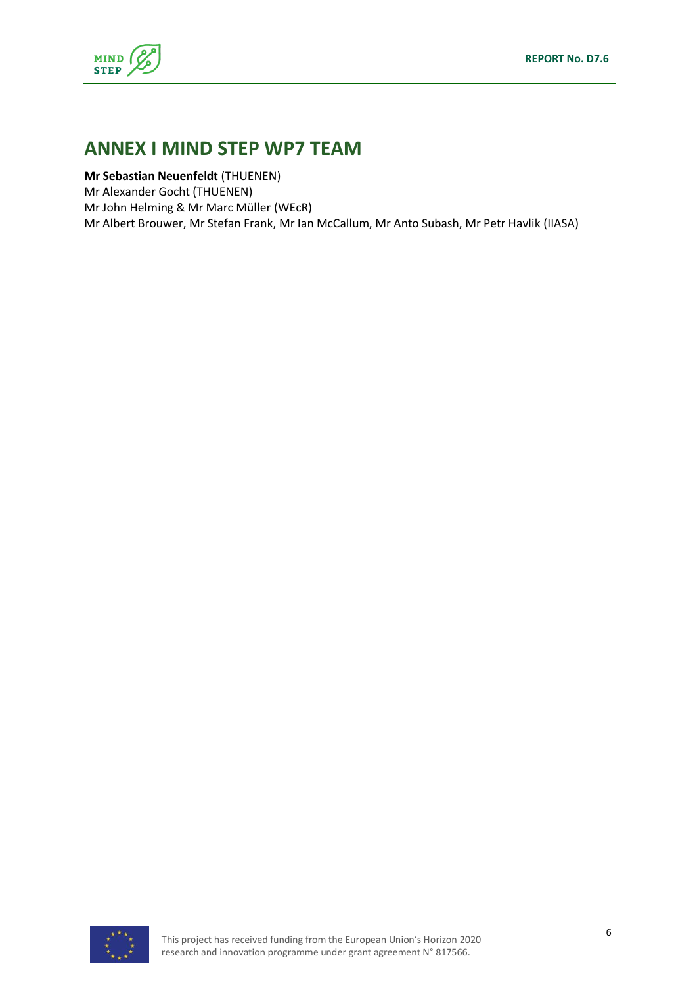

## <span id="page-7-0"></span>**ANNEX I MIND STEP WP7 TEAM**

**Mr Sebastian Neuenfeldt** (THUENEN) Mr Alexander Gocht (THUENEN) Mr John Helming & Mr Marc Müller (WEcR) Mr Albert Brouwer, Mr Stefan Frank, Mr Ian McCallum, Mr Anto Subash, Mr Petr Havlik (IIASA)